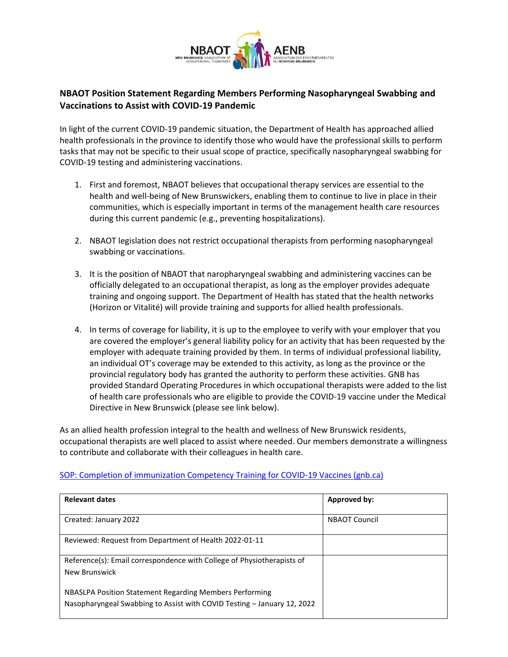

## **NBAOT Position Statement Regarding Members Performing Nasopharyngeal Swabbing and Vaccinations to Assist with COVID-19 Pandemic**

In light of the current COVID-19 pandemic situation, the Department of Health has approached allied health professionals in the province to identify those who would have the professional skills to perform tasks that may not be specific to their usual scope of practice, specifically nasopharyngeal swabbing for COVID-19 testing and administering vaccinations.

- 1. First and foremost, NBAOT believes that occupational therapy services are essential to the health and well-being of New Brunswickers, enabling them to continue to live in place in their communities, which is especially important in terms of the management health care resources during this current pandemic (e.g., preventing hospitalizations).
- 2. NBAOT legislation does not restrict occupational therapists from performing nasopharyngeal swabbing or vaccinations.
- 3. It is the position of NBAOT that naropharyngeal swabbing and administering vaccines can be officially delegated to an occupational therapist, as long as the employer provides adequate training and ongoing support. The Department of Health has stated that the health networks (Horizon or Vitalité) will provide training and supports for allied health professionals.
- 4. In terms of coverage for liability, it is up to the employee to verify with your employer that you are covered the employer's general liability policy for an activity that has been requested by the employer with adequate training provided by them. In terms of individual professional liability, an individual OT's coverage may be extended to this activity, as long as the province or the provincial regulatory body has granted the authority to perform these activities. GNB has provided Standard Operating Procedures in which occupational therapists were added to the list of health care professionals who are eligible to provide the COVID-19 vaccine under the Medical Directive in New Brunswick (please see link below).

As an allied health profession integral to the health and wellness of New Brunswick residents, occupational therapists are well placed to assist where needed. Our members demonstrate a willingness to contribute and collaborate with their colleagues in health care.

## [SOP: Completion of immunization Competency Training for COVID-19 Vaccines \(gnb.ca\)](https://www2.gnb.ca/content/dam/gnb/Departments/eco-bce/Promo/covid-19/SOP-completion.pdf)

| <b>Relevant dates</b>                                                   | Approved by:         |
|-------------------------------------------------------------------------|----------------------|
|                                                                         |                      |
| Created: January 2022                                                   | <b>NBAOT Council</b> |
|                                                                         |                      |
| Reviewed: Request from Department of Health 2022-01-11                  |                      |
| Reference(s): Email correspondence with College of Physiotherapists of  |                      |
|                                                                         |                      |
| New Brunswick                                                           |                      |
| NBASLPA Position Statement Regarding Members Performing                 |                      |
| Nasopharyngeal Swabbing to Assist with COVID Testing – January 12, 2022 |                      |
|                                                                         |                      |